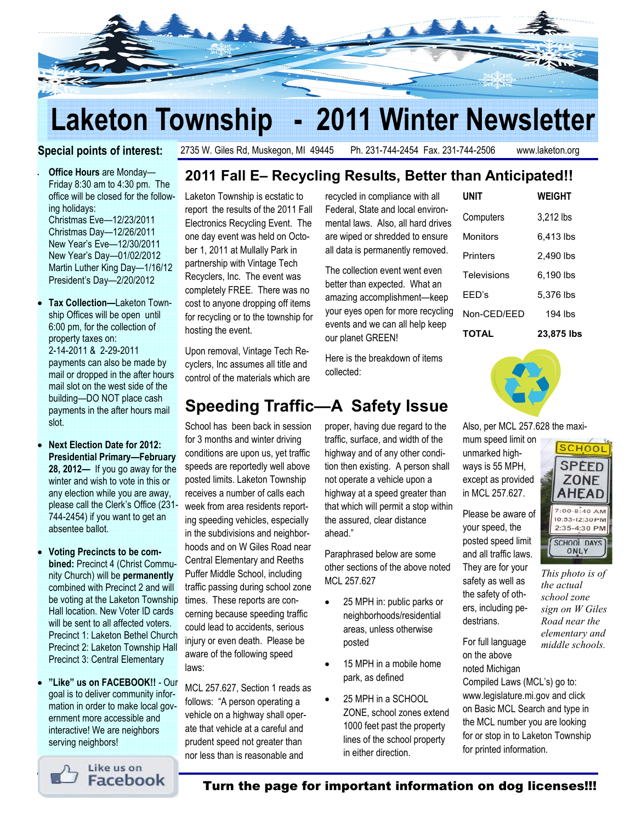

## Laketon Township - 2011 Winter Newsletter

#### Special points of interest:

2735 W. Giles Rd, Muskegon, MI 49445 Ph. 231-744-2454 Fax. 231-744-2506 www.laketon.org

Office Hours are Monday-Friday 8:30 am to 4:30 pm. The office will be closed for the following holidays: Christmas Eve—12/23/2011 Christmas Day—12/26/2011 New Year's Eve—12/30/2011 New Year's Day—01/02/2012 Martin Luther King Day—1/16/12 President's Day—2/20/2012

- Tax Collection—Laketon Township Offices will be open until 6:00 pm, for the collection of property taxes on: 2-14-2011 & 2-29-2011 payments can also be made by mail or dropped in the after hours mail slot on the west side of the building—DO NOT place cash payments in the after hours mail slot.
- Next Election Date for 2012: Presidential Primary—February 28, 2012— If you go away for the winter and wish to vote in this or any election while you are away, please call the Clerk's Office (231- 744-2454) if you want to get an absentee ballot.
- Voting Precincts to be combined: Precinct 4 (Christ Community Church) will be permanently combined with Precinct 2 and will be voting at the Laketon Township Hall location. New Voter ID cards will be sent to all affected voters. Precinct 1: Laketon Bethel Church Precinct 2: Laketon Township Hall Precinct 3: Central Elementary
- "Like" us on FACEBOOK!! Our goal is to deliver community information in order to make local government more accessible and interactive! We are neighbors serving neighbors!

## 2011 Fall E– Recycling Results, Better than Anticipated!!

Laketon Township is ecstatic to report the results of the 2011 Fall Electronics Recycling Event. The one day event was held on October 1, 2011 at Mullally Park in partnership with Vintage Tech Recyclers, Inc. The event was completely FREE. There was no cost to anyone dropping off items for recycling or to the township for hosting the event.

Upon removal, Vintage Tech Recyclers, Inc assumes all title and control of the materials which are

## Speeding Traffic—A Safety Issue

School has been back in session for 3 months and winter driving conditions are upon us, yet traffic speeds are reportedly well above posted limits. Laketon Township receives a number of calls each week from area residents reporting speeding vehicles, especially in the subdivisions and neighborhoods and on W Giles Road near Central Elementary and Reeths Puffer Middle School, including traffic passing during school zone times. These reports are concerning because speeding traffic could lead to accidents, serious injury or even death. Please be aware of the following speed laws:

MCL 257.627, Section 1 reads as follows: "A person operating a vehicle on a highway shall operate that vehicle at a careful and prudent speed not greater than nor less than is reasonable and

recycled in compliance with all Federal, State and local environmental laws. Also, all hard drives are wiped or shredded to ensure all data is permanently removed.

The collection event went even better than expected. What an amazing accomplishment—keep your eyes open for more recycling events and we can all help keep our planet GREEN!

Here is the breakdown of items collected:

# proper, having due regard to the traffic, surface, and width of the

highway and of any other condition then existing. A person shall not operate a vehicle upon a highway at a speed greater than that which will permit a stop within the assured, clear distance ahead."

Paraphrased below are some other sections of the above noted MCL 257.627

- 25 MPH in: public parks or neighborhoods/residential areas, unless otherwise posted
- 15 MPH in a mobile home park, as defined
- 25 MPH in a SCHOOL ZONE, school zones extend 1000 feet past the property lines of the school property in either direction.

| UNIT         | WEIGHT     |
|--------------|------------|
| Computers    | 3,212 lbs  |
| Monitors     | 6,413 lbs  |
| Printers     | 2,490 lbs  |
| Televisions  | 6.190 lbs  |
| FFD's        | 5.376 lbs  |
| Non-CED/EED  | $194$ lbs  |
| <b>TOTAL</b> | 23.875 lbs |



Also, per MCL 257.628 the maxi-

mum speed limit on unmarked highways is 55 MPH, except as provided in MCL 257.627.

Please be aware of your speed, the posted speed limit

and all traffic laws. They are for your safety as well as the safety of others, including pedestrians.

For full language on the above noted Michigan

Compiled Laws (MCL's) go to: www.legislature.mi.gov and click on Basic MCL Search and type in the MCL number you are looking for or stop in to Laketon Township for printed information.



This photo is of

the actual school zone sign on W Giles Road near the elementary and middle schools.

Like us on Facebook

Turn the page for important information on dog licenses!!!